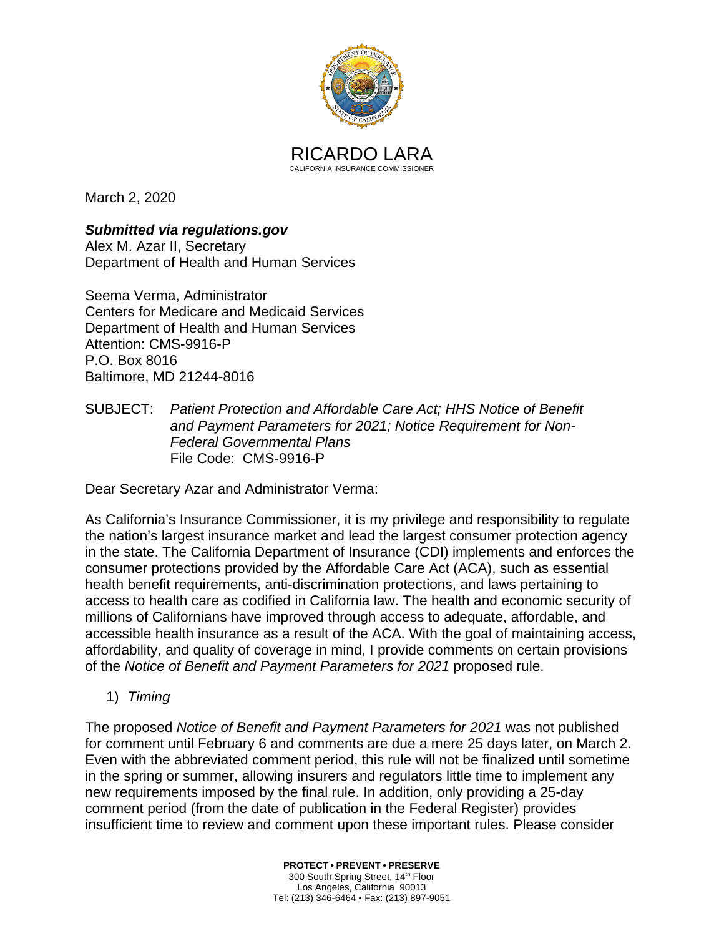

March 2, 2020

*Submitted via [regulations.gov](https://regulations.gov)* Alex M. Azar II, Secretary Department of Health and Human Services

Seema Verma, Administrator Centers for Medicare and Medicaid Services Department of Health and Human Services Attention: CMS-9916-P P.O. Box 8016 Baltimore, MD 21244-8016

SUBJECT: *Patient Protection and Affordable Care Act; HHS Notice of Benefit and Payment Parameters for 2021; Notice Requirement for Non-Federal Governmental Plans*  File Code: CMS-9916-P

Dear Secretary Azar and Administrator Verma:

 affordability, and quality of coverage in mind, I provide comments on certain provisions As California's Insurance Commissioner, it is my privilege and responsibility to regulate the nation's largest insurance market and lead the largest consumer protection agency in the state. The California Department of Insurance (CDI) implements and enforces the consumer protections provided by the Affordable Care Act (ACA), such as essential health benefit requirements, anti-discrimination protections, and laws pertaining to access to health care as codified in California law. The health and economic security of millions of Californians have improved through access to adequate, affordable, and accessible health insurance as a result of the ACA. With the goal of maintaining access, of the *Notice of Benefit and Payment Parameters for 2021* proposed rule.

1) *Timing* 

 comment period (from the date of publication in the Federal Register) provides The proposed *Notice of Benefit and Payment Parameters for 2021* was not published for comment until February 6 and comments are due a mere 25 days later, on March 2. Even with the abbreviated comment period, this rule will not be finalized until sometime in the spring or summer, allowing insurers and regulators little time to implement any new requirements imposed by the final rule. In addition, only providing a 25-day insufficient time to review and comment upon these important rules. Please consider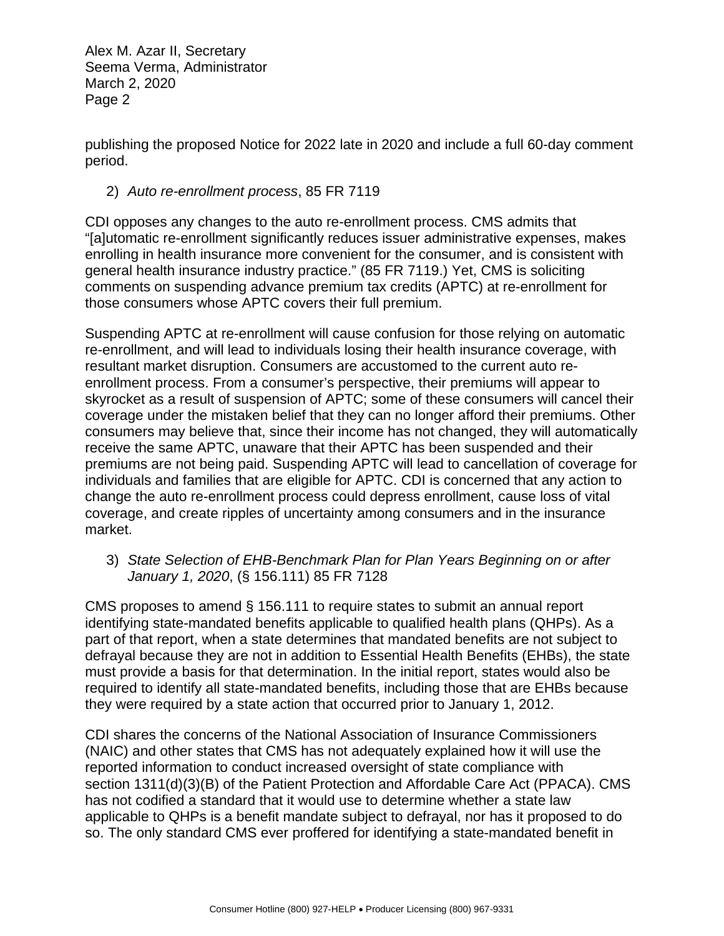publishing the proposed Notice for 2022 late in 2020 and include a full 60-day comment period.

## 2) *Auto re-enrollment process*, 85 FR 7119

CDI opposes any changes to the auto re-enrollment process. CMS admits that "[a]utomatic re-enrollment significantly reduces issuer administrative expenses, makes enrolling in health insurance more convenient for the consumer, and is consistent with general health insurance industry practice." (85 FR 7119.) Yet, CMS is soliciting comments on suspending advance premium tax credits (APTC) at re-enrollment for those consumers whose APTC covers their full premium.

 coverage under the mistaken belief that they can no longer afford their premiums. Other Suspending APTC at re-enrollment will cause confusion for those relying on automatic re-enrollment, and will lead to individuals losing their health insurance coverage, with resultant market disruption. Consumers are accustomed to the current auto reenrollment process. From a consumer's perspective, their premiums will appear to skyrocket as a result of suspension of APTC; some of these consumers will cancel their consumers may believe that, since their income has not changed, they will automatically receive the same APTC, unaware that their APTC has been suspended and their premiums are not being paid. Suspending APTC will lead to cancellation of coverage for individuals and families that are eligible for APTC. CDI is concerned that any action to change the auto re-enrollment process could depress enrollment, cause loss of vital coverage, and create ripples of uncertainty among consumers and in the insurance market.

 *January 1, 2020*, (§ 156.111) 85 FR 7128 3) *State Selection of EHB-Benchmark Plan for Plan Years Beginning on or after* 

 part of that report, when a state determines that mandated benefits are not subject to they were required by a state action that occurred prior to January 1, 2012. CMS proposes to amend § 156.111 to require states to submit an annual report identifying state-mandated benefits applicable to qualified health plans (QHPs). As a defrayal because they are not in addition to Essential Health Benefits (EHBs), the state must provide a basis for that determination. In the initial report, states would also be required to identify all state-mandated benefits, including those that are EHBs because

CDI shares the concerns of the National Association of Insurance Commissioners (NAIC) and other states that CMS has not adequately explained how it will use the reported information to conduct increased oversight of state compliance with section 1311(d)(3)(B) of the Patient Protection and Affordable Care Act (PPACA). CMS has not codified a standard that it would use to determine whether a state law applicable to QHPs is a benefit mandate subject to defrayal, nor has it proposed to do so. The only standard CMS ever proffered for identifying a state-mandated benefit in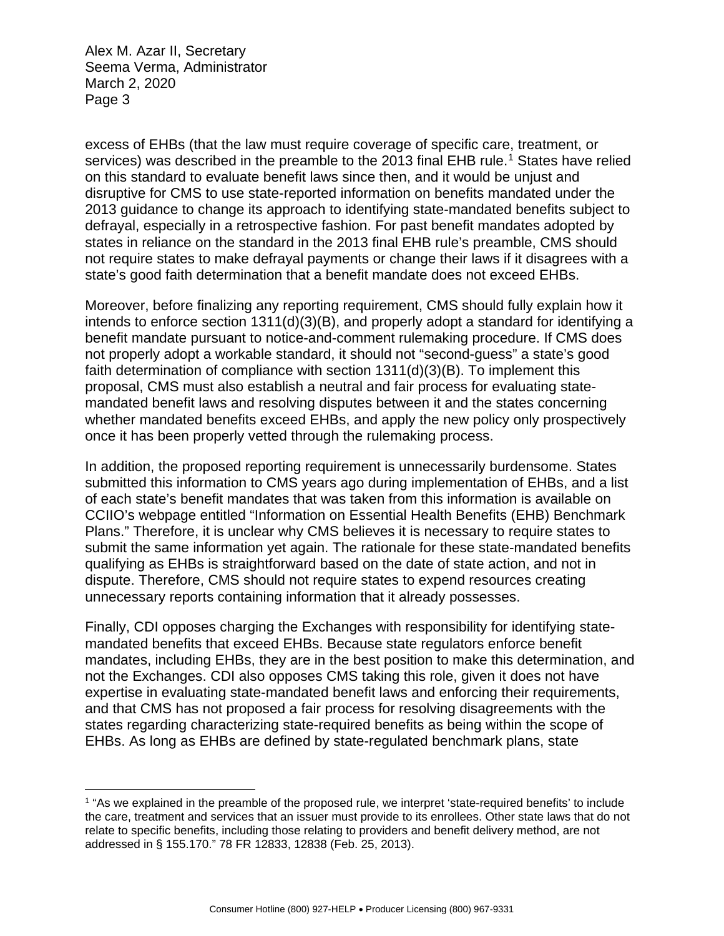-

excess of EHBs (that the law must require coverage of specific care, treatment, or services) was described in the preamble to the 20[1](#page-2-0)3 final EHB rule.<sup>1</sup> States have relied on this standard to evaluate benefit laws since then, and it would be unjust and disruptive for CMS to use state-reported information on benefits mandated under the 2013 guidance to change its approach to identifying state-mandated benefits subject to defrayal, especially in a retrospective fashion. For past benefit mandates adopted by states in reliance on the standard in the 2013 final EHB rule's preamble, CMS should not require states to make defrayal payments or change their laws if it disagrees with a state's good faith determination that a benefit mandate does not exceed EHBs.

 benefit mandate pursuant to notice-and-comment rulemaking procedure. If CMS does Moreover, before finalizing any reporting requirement, CMS should fully explain how it intends to enforce section 1311(d)(3)(B), and properly adopt a standard for identifying a not properly adopt a workable standard, it should not "second-guess" a state's good faith determination of compliance with section 1311(d)(3)(B). To implement this proposal, CMS must also establish a neutral and fair process for evaluating statemandated benefit laws and resolving disputes between it and the states concerning whether mandated benefits exceed EHBs, and apply the new policy only prospectively once it has been properly vetted through the rulemaking process.

In addition, the proposed reporting requirement is unnecessarily burdensome. States submitted this information to CMS years ago during implementation of EHBs, and a list of each state's benefit mandates that was taken from this information is available on CCIIO's webpage entitled "Information on Essential Health Benefits (EHB) Benchmark Plans." Therefore, it is unclear why CMS believes it is necessary to require states to submit the same information yet again. The rationale for these state-mandated benefits qualifying as EHBs is straightforward based on the date of state action, and not in dispute. Therefore, CMS should not require states to expend resources creating unnecessary reports containing information that it already possesses.

Finally, CDI opposes charging the Exchanges with responsibility for identifying statemandated benefits that exceed EHBs. Because state regulators enforce benefit mandates, including EHBs, they are in the best position to make this determination, and not the Exchanges. CDI also opposes CMS taking this role, given it does not have expertise in evaluating state-mandated benefit laws and enforcing their requirements, and that CMS has not proposed a fair process for resolving disagreements with the states regarding characterizing state-required benefits as being within the scope of EHBs. As long as EHBs are defined by state-regulated benchmark plans, state

<span id="page-2-0"></span><sup>&</sup>lt;sup>1</sup> "As we explained in the preamble of the proposed rule, we interpret 'state-required benefits' to include the care, treatment and services that an issuer must provide to its enrollees. Other state laws that do not relate to specific benefits, including those relating to providers and benefit delivery method, are not addressed in § 155.170." 78 FR 12833, 12838 (Feb. 25, 2013).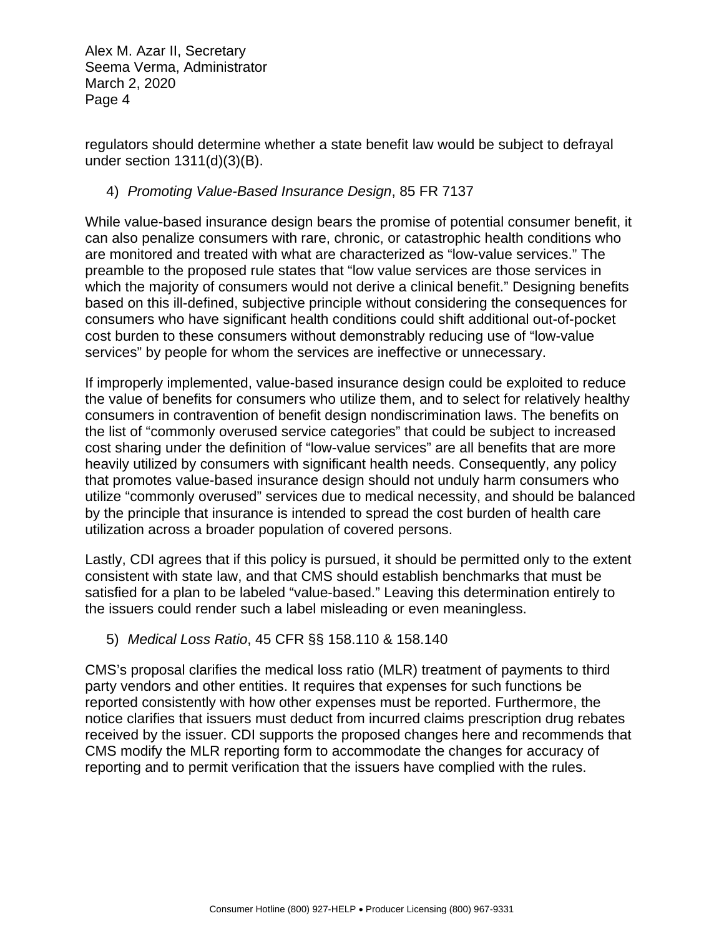regulators should determine whether a state benefit law would be subject to defrayal under section 1311(d)(3)(B).

## 4) *Promoting Value-Based Insurance Design*, 85 FR 7137

While value-based insurance design bears the promise of potential consumer benefit, it can also penalize consumers with rare, chronic, or catastrophic health conditions who are monitored and treated with what are characterized as "low-value services." The preamble to the proposed rule states that "low value services are those services in which the majority of consumers would not derive a clinical benefit." Designing benefits based on this ill-defined, subjective principle without considering the consequences for consumers who have significant health conditions could shift additional out-of-pocket cost burden to these consumers without demonstrably reducing use of "low-value services" by people for whom the services are ineffective or unnecessary.

If improperly implemented, value-based insurance design could be exploited to reduce the value of benefits for consumers who utilize them, and to select for relatively healthy consumers in contravention of benefit design nondiscrimination laws. The benefits on the list of "commonly overused service categories" that could be subject to increased cost sharing under the definition of "low-value services" are all benefits that are more heavily utilized by consumers with significant health needs. Consequently, any policy that promotes value-based insurance design should not unduly harm consumers who utilize "commonly overused" services due to medical necessity, and should be balanced by the principle that insurance is intended to spread the cost burden of health care utilization across a broader population of covered persons.

Lastly, CDI agrees that if this policy is pursued, it should be permitted only to the extent consistent with state law, and that CMS should establish benchmarks that must be satisfied for a plan to be labeled "value-based." Leaving this determination entirely to the issuers could render such a label misleading or even meaningless.

## 5) *Medical Loss Ratio*, 45 CFR §§ 158.110 & 158.140

 party vendors and other entities. It requires that expenses for such functions be CMS's proposal clarifies the medical loss ratio (MLR) treatment of payments to third reported consistently with how other expenses must be reported. Furthermore, the notice clarifies that issuers must deduct from incurred claims prescription drug rebates received by the issuer. CDI supports the proposed changes here and recommends that CMS modify the MLR reporting form to accommodate the changes for accuracy of reporting and to permit verification that the issuers have complied with the rules.